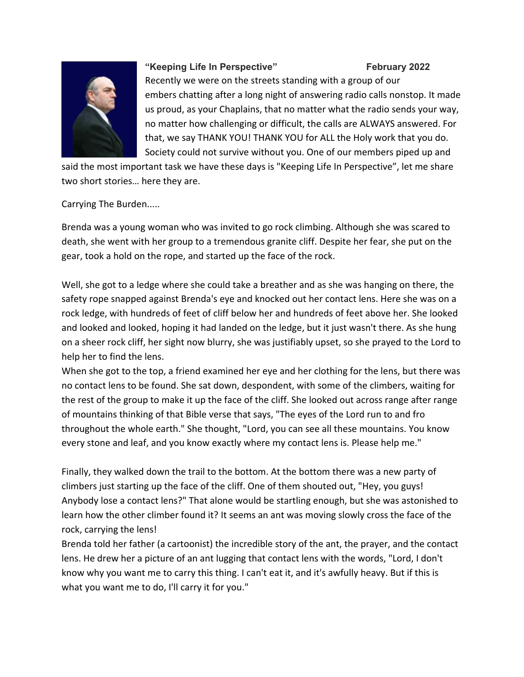

## **"Keeping Life In Perspective" February 2022**

Recently we were on the streets standing with a group of our embers chatting after a long night of answering radio calls nonstop. It made us proud, as your Chaplains, that no matter what the radio sends your way, no matter how challenging or difficult, the calls are ALWAYS answered. For that, we say THANK YOU! THANK YOU for ALL the Holy work that you do. Society could not survive without you. One of our members piped up and

said the most important task we have these days is "Keeping Life In Perspective", let me share two short stories… here they are.

Carrying The Burden.....

Brenda was a young woman who was invited to go rock climbing. Although she was scared to death, she went with her group to a tremendous granite cliff. Despite her fear, she put on the gear, took a hold on the rope, and started up the face of the rock.

Well, she got to a ledge where she could take a breather and as she was hanging on there, the safety rope snapped against Brenda's eye and knocked out her contact lens. Here she was on a rock ledge, with hundreds of feet of cliff below her and hundreds of feet above her. She looked and looked and looked, hoping it had landed on the ledge, but it just wasn't there. As she hung on a sheer rock cliff, her sight now blurry, she was justifiably upset, so she prayed to the Lord to help her to find the lens.

When she got to the top, a friend examined her eye and her clothing for the lens, but there was no contact lens to be found. She sat down, despondent, with some of the climbers, waiting for the rest of the group to make it up the face of the cliff. She looked out across range after range of mountains thinking of that Bible verse that says, "The eyes of the Lord run to and fro throughout the whole earth." She thought, "Lord, you can see all these mountains. You know every stone and leaf, and you know exactly where my contact lens is. Please help me."

Finally, they walked down the trail to the bottom. At the bottom there was a new party of climbers just starting up the face of the cliff. One of them shouted out, "Hey, you guys! Anybody lose a contact lens?" That alone would be startling enough, but she was astonished to learn how the other climber found it? It seems an ant was moving slowly cross the face of the rock, carrying the lens!

Brenda told her father (a cartoonist) the incredible story of the ant, the prayer, and the contact lens. He drew her a picture of an ant lugging that contact lens with the words, "Lord, I don't know why you want me to carry this thing. I can't eat it, and it's awfully heavy. But if this is what you want me to do, I'll carry it for you."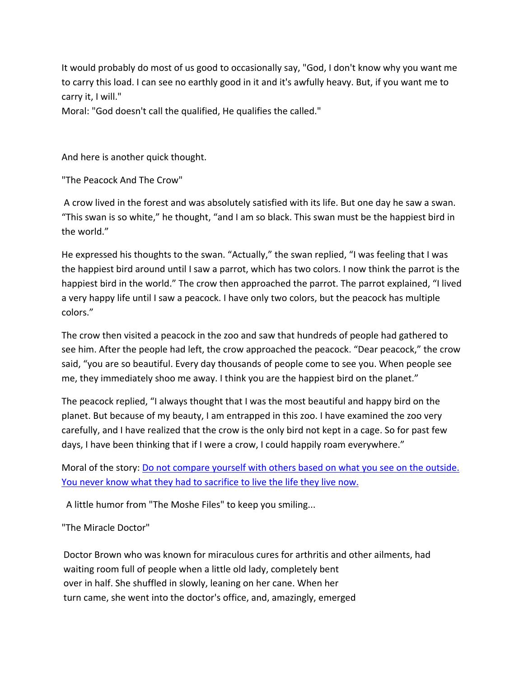It would probably do most of us good to occasionally say, "God, I don't know why you want me to carry this load. I can see no earthly good in it and it's awfully heavy. But, if you want me to carry it, I will."

Moral: "God doesn't call the qualified, He qualifies the called."

And here is another quick thought.

"The Peacock And The Crow"

A crow lived in the forest and was absolutely satisfied with its life. But one day he saw a swan. "This swan is so white," he thought, "and I am so black. This swan must be the happiest bird in the world."

He expressed his thoughts to the swan. "Actually," the swan replied, "I was feeling that I was the happiest bird around until I saw a parrot, which has two colors. I now think the parrot is the happiest bird in the world." The crow then approached the parrot. The parrot explained, "I lived a very happy life until I saw a peacock. I have only two colors, but the peacock has multiple colors."

The crow then visited a peacock in the zoo and saw that hundreds of people had gathered to see him. After the people had left, the crow approached the peacock. "Dear peacock," the crow said, "you are so beautiful. Every day thousands of people come to see you. When people see me, they immediately shoo me away. I think you are the happiest bird on the planet."

The peacock replied, "I always thought that I was the most beautiful and happy bird on the planet. But because of my beauty, I am entrapped in this zoo. I have examined the zoo very carefully, and I have realized that the crow is the only bird not kept in a cage. So for past few days, I have been thinking that if I were a crow, I could happily roam everywhere."

Moral of the story: [Do not compare yourself with others based on what you see on the outside.](https://www.moralstories.org/happy-peacock-crow/)  [You never know what they had to sacrifice to live the life they live now.](https://www.moralstories.org/happy-peacock-crow/)

A little humor from "The Moshe Files" to keep you smiling...

"The Miracle Doctor"

Doctor Brown who was known for miraculous cures for arthritis and other ailments, had waiting room full of people when a little old lady, completely bent over in half. She shuffled in slowly, leaning on her cane. When her turn came, she went into the doctor's office, and, amazingly, emerged